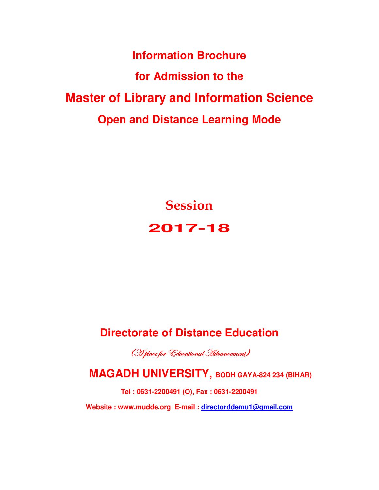**Information Brochure for Admission to the Master of Library and Information Science Open and Distance Learning Mode** 

> **Session 2017-18**

# **Directorate of Distance Education**

(H place for Educational Hdvancement)

 **MAGADH UNIVERSITY, BODH GAYA-824 234 (BIHAR)** 

**Tel : 0631-2200491 (O), Fax : 0631-2200491 Website : www.mudde.org E-mail : directorddemu1@gmail.com**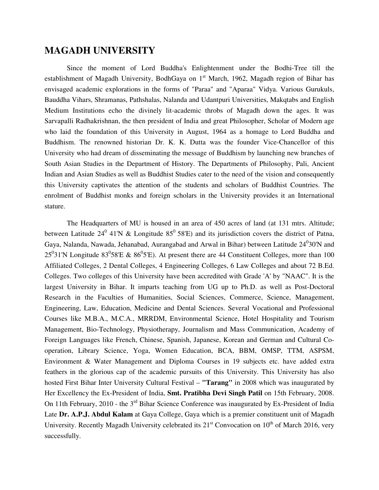## **MAGADH UNIVERSITY**

Since the moment of Lord Buddha's Enlightenment under the Bodhi-Tree till the establishment of Magadh University, BodhGaya on  $1<sup>st</sup>$  March, 1962, Magadh region of Bihar has envisaged academic explorations in the forms of "Paraa" and "Aparaa" Vidya. Various Gurukuls, Bauddha Vihars, Shramanas, Pathshalas, Nalanda and Udantpuri Universities, Makqtabs and English Medium Institutions echo the divinely lit-academic throbs of Magadh down the ages. It was Sarvapalli Radhakrishnan, the then president of India and great Philosopher, Scholar of Modern age who laid the foundation of this University in August, 1964 as a homage to Lord Buddha and Buddhism. The renowned historian Dr. K. K. Dutta was the founder Vice-Chancellor of this University who had dream of disseminating the message of Buddhism by launching new branches of South Asian Studies in the Department of History. The Departments of Philosophy, Pali, Ancient Indian and Asian Studies as well as Buddhist Studies cater to the need of the vision and consequently this University captivates the attention of the students and scholars of Buddhist Countries. The enrolment of Buddhist monks and foreign scholars in the University provides it an International stature.

 The Headquarters of MU is housed in an area of 450 acres of land (at 131 mtrs. Altitude; between Latitude 24<sup>0</sup> 41'N & Longitude 85<sup>0</sup> 58'E) and its jurisdiction covers the district of Patna, Gaya, Nalanda, Nawada, Jehanabad, Aurangabad and Arwal in Bihar) between Latitude 24<sup>0</sup>30'N and 25<sup>0</sup>31'N Longitude 83<sup>0</sup>58'E & 86<sup>0</sup>5'E). At present there are 44 Constituent Colleges, more than 100 Affiliated Colleges, 2 Dental Colleges, 4 Engineering Colleges, 6 Law Colleges and about 72 B.Ed. Colleges. Two colleges of this University have been accredited with Grade 'A' by "NAAC". It is the largest University in Bihar. It imparts teaching from UG up to Ph.D. as well as Post-Doctoral Research in the Faculties of Humanities, Social Sciences, Commerce, Science, Management, Engineering, Law, Education, Medicine and Dental Sciences. Several Vocational and Professional Courses like M.B.A., M.C.A., MRRDM, Environmental Science, Hotel Hospitality and Tourism Management, Bio-Technology, Physiotherapy, Journalism and Mass Communication, Academy of Foreign Languages like French, Chinese, Spanish, Japanese, Korean and German and Cultural Cooperation, Library Science, Yoga, Women Education, BCA, BBM, OMSP, TTM, ASPSM, Environment & Water Management and Diploma Courses in 19 subjects etc. have added extra feathers in the glorious cap of the academic pursuits of this University. This University has also hosted First Bihar Inter University Cultural Festival – **"Tarang"** in 2008 which was inaugurated by Her Excellency the Ex-President of India, **Smt. Pratibha Devi Singh Patil** on 15th February, 2008. On 11th February, 2010 - the  $3<sup>rd</sup>$  Bihar Science Conference was inaugurated by Ex-President of India Late **Dr. A.P.J. Abdul Kalam** at Gaya College, Gaya which is a premier constituent unit of Magadh University. Recently Magadh University celebrated its  $21<sup>st</sup>$  Convocation on  $10<sup>th</sup>$  of March 2016, very successfully.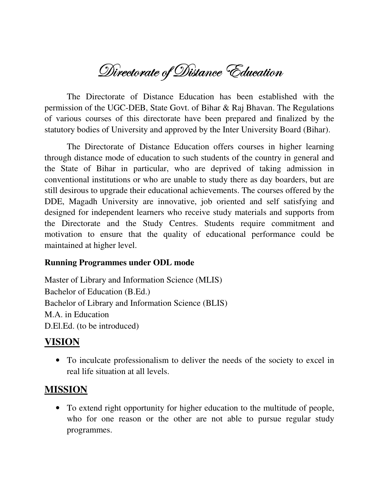Directorate of Distance Education

The Directorate of Distance Education has been established with the permission of the UGC-DEB, State Govt. of Bihar & Raj Bhavan. The Regulations of various courses of this directorate have been prepared and finalized by the statutory bodies of University and approved by the Inter University Board (Bihar).

 The Directorate of Distance Education offers courses in higher learning through distance mode of education to such students of the country in general and the State of Bihar in particular, who are deprived of taking admission in conventional institutions or who are unable to study there as day boarders, but are still desirous to upgrade their educational achievements. The courses offered by the DDE, Magadh University are innovative, job oriented and self satisfying and designed for independent learners who receive study materials and supports from the Directorate and the Study Centres. Students require commitment and motivation to ensure that the quality of educational performance could be maintained at higher level.

### **Running Programmes under ODL mode**

Master of Library and Information Science (MLIS) Bachelor of Education (B.Ed.) Bachelor of Library and Information Science (BLIS) M.A. in Education D.El.Ed. (to be introduced)

## **VISION**

• To inculcate professionalism to deliver the needs of the society to excel in real life situation at all levels.

## **MISSION**

• To extend right opportunity for higher education to the multitude of people, who for one reason or the other are not able to pursue regular study programmes.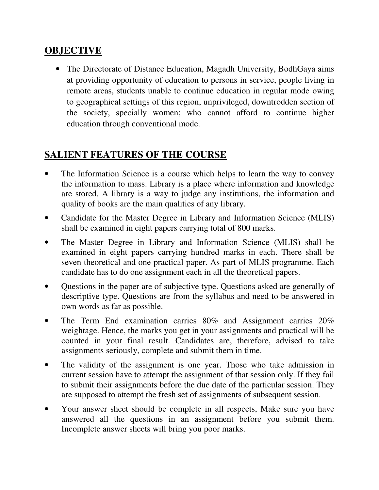## **OBJECTIVE**

• The Directorate of Distance Education, Magadh University, BodhGaya aims at providing opportunity of education to persons in service, people living in remote areas, students unable to continue education in regular mode owing to geographical settings of this region, unprivileged, downtrodden section of the society, specially women; who cannot afford to continue higher education through conventional mode.

## **SALIENT FEATURES OF THE COURSE**

- The Information Science is a course which helps to learn the way to convey the information to mass. Library is a place where information and knowledge are stored. A library is a way to judge any institutions, the information and quality of books are the main qualities of any library.
- Candidate for the Master Degree in Library and Information Science (MLIS) shall be examined in eight papers carrying total of 800 marks.
- The Master Degree in Library and Information Science (MLIS) shall be examined in eight papers carrying hundred marks in each. There shall be seven theoretical and one practical paper. As part of MLIS programme. Each candidate has to do one assignment each in all the theoretical papers.
- Questions in the paper are of subjective type. Questions asked are generally of descriptive type. Questions are from the syllabus and need to be answered in own words as far as possible.
- The Term End examination carries 80% and Assignment carries 20% weightage. Hence, the marks you get in your assignments and practical will be counted in your final result. Candidates are, therefore, advised to take assignments seriously, complete and submit them in time.
- The validity of the assignment is one year. Those who take admission in current session have to attempt the assignment of that session only. If they fail to submit their assignments before the due date of the particular session. They are supposed to attempt the fresh set of assignments of subsequent session.
- Your answer sheet should be complete in all respects, Make sure you have answered all the questions in an assignment before you submit them. Incomplete answer sheets will bring you poor marks.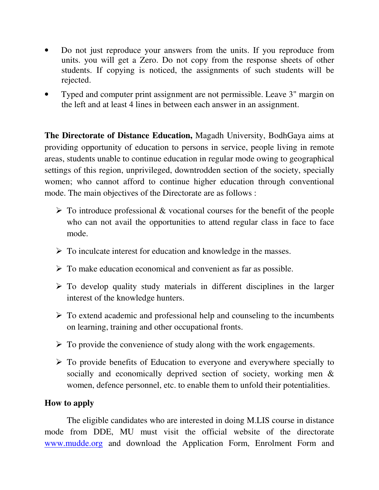- Do not just reproduce your answers from the units. If you reproduce from units. you will get a Zero. Do not copy from the response sheets of other students. If copying is noticed, the assignments of such students will be rejected.
- Typed and computer print assignment are not permissible. Leave 3" margin on the left and at least 4 lines in between each answer in an assignment.

**The Directorate of Distance Education,** Magadh University, BodhGaya aims at providing opportunity of education to persons in service, people living in remote areas, students unable to continue education in regular mode owing to geographical settings of this region, unprivileged, downtrodden section of the society, specially women; who cannot afford to continue higher education through conventional mode. The main objectives of the Directorate are as follows :

- $\triangleright$  To introduce professional & vocational courses for the benefit of the people who can not avail the opportunities to attend regular class in face to face mode.
- $\triangleright$  To inculcate interest for education and knowledge in the masses.
- $\triangleright$  To make education economical and convenient as far as possible.
- $\triangleright$  To develop quality study materials in different disciplines in the larger interest of the knowledge hunters.
- $\triangleright$  To extend academic and professional help and counseling to the incumbents on learning, training and other occupational fronts.
- $\triangleright$  To provide the convenience of study along with the work engagements.
- $\triangleright$  To provide benefits of Education to everyone and everywhere specially to socially and economically deprived section of society, working men & women, defence personnel, etc. to enable them to unfold their potentialities.

## **How to apply**

 The eligible candidates who are interested in doing M.LIS course in distance mode from DDE, MU must visit the official website of the directorate www.mudde.org and download the Application Form, Enrolment Form and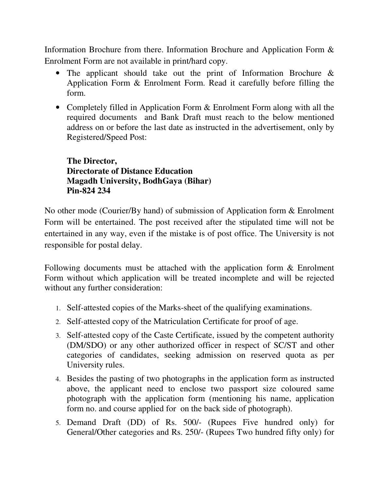Information Brochure from there. Information Brochure and Application Form  $\&$ Enrolment Form are not available in print/hard copy.

- The applicant should take out the print of Information Brochure & Application Form & Enrolment Form. Read it carefully before filling the form.
- Completely filled in Application Form & Enrolment Form along with all the required documents and Bank Draft must reach to the below mentioned address on or before the last date as instructed in the advertisement, only by Registered/Speed Post:

**The Director, Directorate of Distance Education Magadh University, BodhGaya (Bihar) Pin-824 234** 

No other mode (Courier/By hand) of submission of Application form & Enrolment Form will be entertained. The post received after the stipulated time will not be entertained in any way, even if the mistake is of post office. The University is not responsible for postal delay.

Following documents must be attached with the application form  $\&$  Enrolment Form without which application will be treated incomplete and will be rejected without any further consideration:

- 1. Self-attested copies of the Marks-sheet of the qualifying examinations.
- 2. Self-attested copy of the Matriculation Certificate for proof of age.
- 3. Self-attested copy of the Caste Certificate, issued by the competent authority (DM/SDO) or any other authorized officer in respect of SC/ST and other categories of candidates, seeking admission on reserved quota as per University rules.
- 4. Besides the pasting of two photographs in the application form as instructed above, the applicant need to enclose two passport size coloured same photograph with the application form (mentioning his name, application form no. and course applied for on the back side of photograph).
- 5. Demand Draft (DD) of Rs. 500/- (Rupees Five hundred only) for General/Other categories and Rs. 250/- (Rupees Two hundred fifty only) for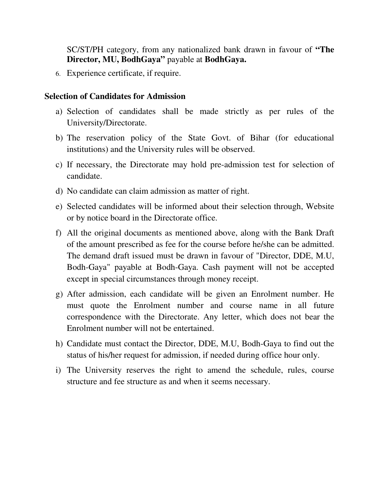SC/ST/PH category, from any nationalized bank drawn in favour of **"The Director, MU, BodhGaya"** payable at **BodhGaya.** 

6. Experience certificate, if require.

#### **Selection of Candidates for Admission**

- a) Selection of candidates shall be made strictly as per rules of the University/Directorate.
- b) The reservation policy of the State Govt. of Bihar (for educational institutions) and the University rules will be observed.
- c) If necessary, the Directorate may hold pre-admission test for selection of candidate.
- d) No candidate can claim admission as matter of right.
- e) Selected candidates will be informed about their selection through, Website or by notice board in the Directorate office.
- f) All the original documents as mentioned above, along with the Bank Draft of the amount prescribed as fee for the course before he/she can be admitted. The demand draft issued must be drawn in favour of "Director, DDE, M.U, Bodh-Gaya" payable at Bodh-Gaya. Cash payment will not be accepted except in special circumstances through money receipt.
- g) After admission, each candidate will be given an Enrolment number. He must quote the Enrolment number and course name in all future correspondence with the Directorate. Any letter, which does not bear the Enrolment number will not be entertained.
- h) Candidate must contact the Director, DDE, M.U, Bodh-Gaya to find out the status of his/her request for admission, if needed during office hour only.
- i) The University reserves the right to amend the schedule, rules, course structure and fee structure as and when it seems necessary.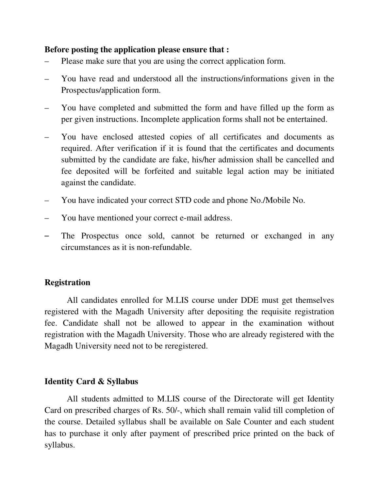#### **Before posting the application please ensure that :**

- Please make sure that you are using the correct application form.
- You have read and understood all the instructions/informations given in the Prospectus/application form.
- You have completed and submitted the form and have filled up the form as per given instructions. Incomplete application forms shall not be entertained.
- You have enclosed attested copies of all certificates and documents as required. After verification if it is found that the certificates and documents submitted by the candidate are fake, his/her admission shall be cancelled and fee deposited will be forfeited and suitable legal action may be initiated against the candidate.
- You have indicated your correct STD code and phone No./Mobile No.
- You have mentioned your correct e-mail address.
- The Prospectus once sold, cannot be returned or exchanged in any circumstances as it is non-refundable.

### **Registration**

 All candidates enrolled for M.LIS course under DDE must get themselves registered with the Magadh University after depositing the requisite registration fee. Candidate shall not be allowed to appear in the examination without registration with the Magadh University. Those who are already registered with the Magadh University need not to be reregistered.

### **Identity Card & Syllabus**

 All students admitted to M.LIS course of the Directorate will get Identity Card on prescribed charges of Rs. 50/-, which shall remain valid till completion of the course. Detailed syllabus shall be available on Sale Counter and each student has to purchase it only after payment of prescribed price printed on the back of syllabus.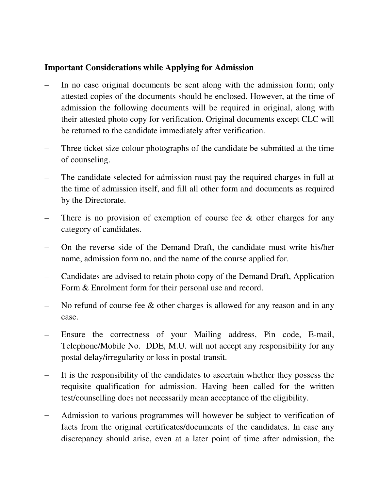## **Important Considerations while Applying for Admission**

- In no case original documents be sent along with the admission form; only attested copies of the documents should be enclosed. However, at the time of admission the following documents will be required in original, along with their attested photo copy for verification. Original documents except CLC will be returned to the candidate immediately after verification.
- Three ticket size colour photographs of the candidate be submitted at the time of counseling.
- The candidate selected for admission must pay the required charges in full at the time of admission itself, and fill all other form and documents as required by the Directorate.
- There is no provision of exemption of course fee & other charges for any category of candidates.
- On the reverse side of the Demand Draft, the candidate must write his/her name, admission form no. and the name of the course applied for.
- Candidates are advised to retain photo copy of the Demand Draft, Application Form  $&$  Enrolment form for their personal use and record.
- No refund of course fee & other charges is allowed for any reason and in any case.
- Ensure the correctness of your Mailing address, Pin code, E-mail, Telephone/Mobile No. DDE, M.U. will not accept any responsibility for any postal delay/irregularity or loss in postal transit.
- It is the responsibility of the candidates to ascertain whether they possess the requisite qualification for admission. Having been called for the written test/counselling does not necessarily mean acceptance of the eligibility.
- Admission to various programmes will however be subject to verification of facts from the original certificates/documents of the candidates. In case any discrepancy should arise, even at a later point of time after admission, the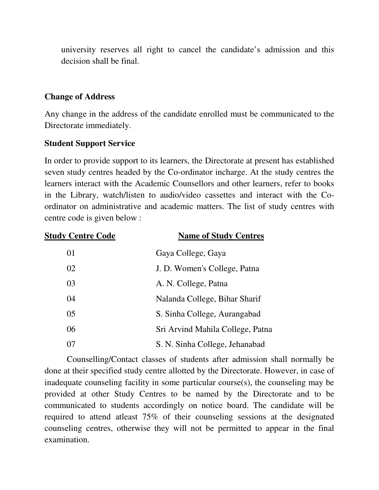university reserves all right to cancel the candidate's admission and this decision shall be final.

## **Change of Address**

Any change in the address of the candidate enrolled must be communicated to the Directorate immediately.

### **Student Support Service**

In order to provide support to its learners, the Directorate at present has established seven study centres headed by the Co-ordinator incharge. At the study centres the learners interact with the Academic Counsellors and other learners, refer to books in the Library, watch/listen to audio/video cassettes and interact with the Coordinator on administrative and academic matters. The list of study centres with centre code is given below :

| <b>Study Centre Code</b> | <b>Name of Study Centres</b>     |
|--------------------------|----------------------------------|
| 01                       | Gaya College, Gaya               |
| 02                       | J. D. Women's College, Patna     |
| 03                       | A. N. College, Patna             |
| 04                       | Nalanda College, Bihar Sharif    |
| 0 <sub>5</sub>           | S. Sinha College, Aurangabad     |
| 06                       | Sri Arvind Mahila College, Patna |
| 07                       | S. N. Sinha College, Jehanabad   |

Counselling/Contact classes of students after admission shall normally be done at their specified study centre allotted by the Directorate. However, in case of inadequate counseling facility in some particular course(s), the counseling may be provided at other Study Centres to be named by the Directorate and to be communicated to students accordingly on notice board. The candidate will be required to attend atleast 75% of their counseling sessions at the designated counseling centres, otherwise they will not be permitted to appear in the final examination.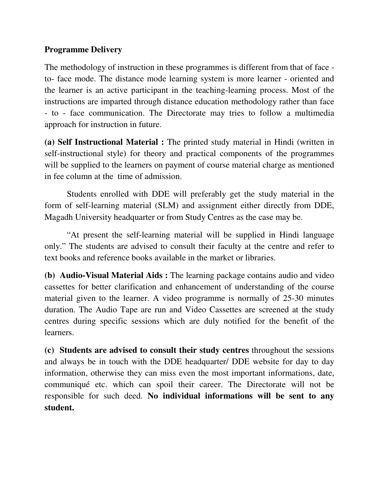## **Programme Delivery**

The methodology of instruction in these programmes is different from that of face to- face mode. The distance mode learning system is more learner - oriented and the learner is an active participant in the teaching-learning process. Most of the instructions are imparted through distance education methodology rather than face - to - face communication. The Directorate may tries to follow a multimedia approach for instruction in future.

**(a) Self Instructional Material :** The printed study material in Hindi (written in self-instructional style) for theory and practical components of the programmes will be supplied to the learners on payment of course material charge as mentioned in fee column at the time of admission.

 Students enrolled with DDE will preferably get the study material in the form of self-learning material (SLM) and assignment either directly from DDE, Magadh University headquarter or from Study Centres as the case may be.

 "At present the self-learning material will be supplied in Hindi language only." The students are advised to consult their faculty at the centre and refer to text books and reference books available in the market or libraries.

**(b) Audio-Visual Material Aids :** The learning package contains audio and video cassettes for better clarification and enhancement of understanding of the course material given to the learner. A video programme is normally of 25-30 minutes duration. The Audio Tape are run and Video Cassettes are screened at the study centres during specific sessions which are duly notified for the benefit of the learners.

**(c) Students are advised to consult their study centres** throughout the sessions and always be in touch with the DDE headquarter/ DDE website for day to day information, otherwise they can miss even the most important informations, date, communiqué etc. which can spoil their career. The Directorate will not be responsible for such deed. **No individual informations will be sent to any student.**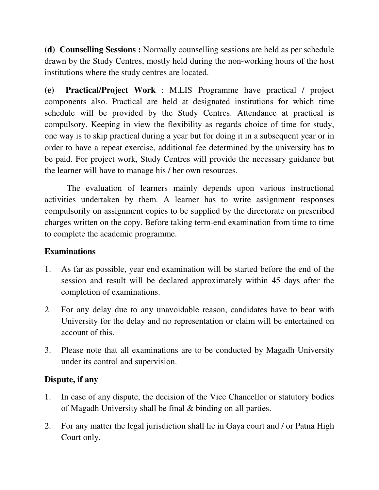**(d) Counselling Sessions :** Normally counselling sessions are held as per schedule drawn by the Study Centres, mostly held during the non-working hours of the host institutions where the study centres are located.

**(e) Practical/Project Work** : M.LIS Programme have practical / project components also. Practical are held at designated institutions for which time schedule will be provided by the Study Centres. Attendance at practical is compulsory. Keeping in view the flexibility as regards choice of time for study, one way is to skip practical during a year but for doing it in a subsequent year or in order to have a repeat exercise, additional fee determined by the university has to be paid. For project work, Study Centres will provide the necessary guidance but the learner will have to manage his / her own resources.

 The evaluation of learners mainly depends upon various instructional activities undertaken by them. A learner has to write assignment responses compulsorily on assignment copies to be supplied by the directorate on prescribed charges written on the copy. Before taking term-end examination from time to time to complete the academic programme.

## **Examinations**

- 1. As far as possible, year end examination will be started before the end of the session and result will be declared approximately within 45 days after the completion of examinations.
- 2. For any delay due to any unavoidable reason, candidates have to bear with University for the delay and no representation or claim will be entertained on account of this.
- 3. Please note that all examinations are to be conducted by Magadh University under its control and supervision.

## **Dispute, if any**

- 1. In case of any dispute, the decision of the Vice Chancellor or statutory bodies of Magadh University shall be final & binding on all parties.
- 2. For any matter the legal jurisdiction shall lie in Gaya court and / or Patna High Court only.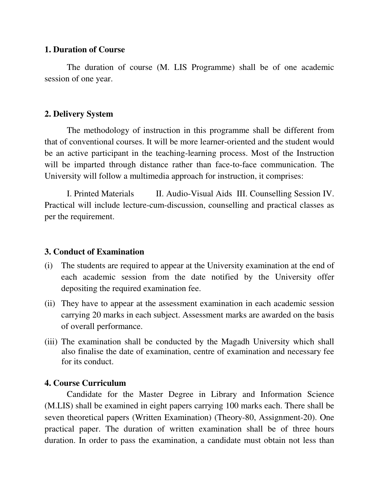#### **1. Duration of Course**

 The duration of course (M. LIS Programme) shall be of one academic session of one year.

### **2. Delivery System**

 The methodology of instruction in this programme shall be different from that of conventional courses. It will be more learner-oriented and the student would be an active participant in the teaching-learning process. Most of the Instruction will be imparted through distance rather than face-to-face communication. The University will follow a multimedia approach for instruction, it comprises:

I. Printed Materials II. Audio-Visual Aids III. Counselling Session IV. Practical will include lecture-cum-discussion, counselling and practical classes as per the requirement.

### **3. Conduct of Examination**

- (i) The students are required to appear at the University examination at the end of each academic session from the date notified by the University offer depositing the required examination fee.
- (ii) They have to appear at the assessment examination in each academic session carrying 20 marks in each subject. Assessment marks are awarded on the basis of overall performance.
- (iii) The examination shall be conducted by the Magadh University which shall also finalise the date of examination, centre of examination and necessary fee for its conduct.

### **4. Course Curriculum**

 Candidate for the Master Degree in Library and Information Science (M.LIS) shall be examined in eight papers carrying 100 marks each. There shall be seven theoretical papers (Written Examination) (Theory-80, Assignment-20). One practical paper. The duration of written examination shall be of three hours duration. In order to pass the examination, a candidate must obtain not less than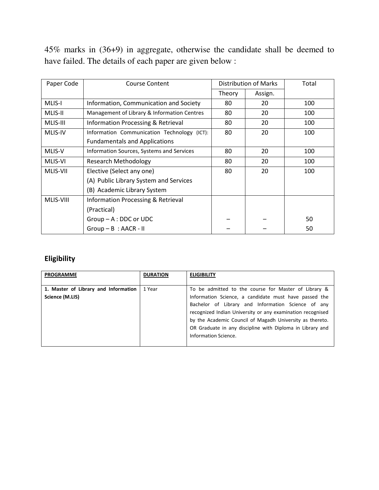45% marks in (36+9) in aggregate, otherwise the candidate shall be deemed to have failed. The details of each paper are given below :

| Paper Code | <b>Course Content</b>                         | <b>Distribution of Marks</b> |         | Total |
|------------|-----------------------------------------------|------------------------------|---------|-------|
|            |                                               | Theory                       | Assign. |       |
| MLIS-I     | Information, Communication and Society        | 80                           | 20      | 100   |
| MLIS-II    | Management of Library & Information Centres   | 80                           | 20      | 100   |
| MLIS-III   | Information Processing & Retrieval            | 80                           | 20      | 100   |
| MLIS-IV    | Information Communication Technology (ICT):   | 80                           | 20      | 100   |
|            | <b>Fundamentals and Applications</b>          |                              |         |       |
| MLIS-V     | Information Sources, Systems and Services     | 80                           | 20      | 100   |
| MLIS-VI    | <b>Research Methodology</b>                   | 80                           | 20      | 100   |
| MLIS-VII   | Elective (Select any one)                     | 80                           | 20      | 100   |
|            | (A) Public Library System and Services        |                              |         |       |
|            | (B) Academic Library System                   |                              |         |       |
| MLIS-VIII  | <b>Information Processing &amp; Retrieval</b> |                              |         |       |
|            | (Practical)                                   |                              |         |       |
|            | $Group - A : DDC$ or UDC                      |                              |         | 50    |
|            | $Group - B : AACR - II$                       |                              |         | 50    |

## **Eligibility**

| <b>PROGRAMME</b>                                        | <b>DURATION</b> | <b>ELIGIBILITY</b>                                                                                                                                                                                                                                                                                                                                                                 |
|---------------------------------------------------------|-----------------|------------------------------------------------------------------------------------------------------------------------------------------------------------------------------------------------------------------------------------------------------------------------------------------------------------------------------------------------------------------------------------|
| 1. Master of Library and Information<br>Science (M.LIS) | 1 Year          | To be admitted to the course for Master of Library &<br>Information Science, a candidate must have passed the<br>Bachelor of Library and Information Science of any<br>recognized Indian University or any examination recognised<br>by the Academic Council of Magadh University as thereto.<br>OR Graduate in any discipline with Diploma in Library and<br>Information Science. |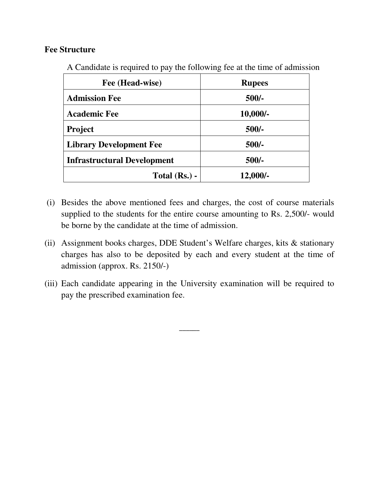### **Fee Structure**

A Candidate is required to pay the following fee at the time of admission

| Fee (Head-wise)                    | <b>Rupees</b> |  |
|------------------------------------|---------------|--|
| <b>Admission Fee</b>               | $500/-$       |  |
| <b>Academic Fee</b>                | $10,000/-$    |  |
| <b>Project</b>                     | $500/-$       |  |
| <b>Library Development Fee</b>     | $500/-$       |  |
| <b>Infrastructural Development</b> | $500/-$       |  |
| Total $(Rs.)$ -                    | $12,000/-$    |  |

- (i) Besides the above mentioned fees and charges, the cost of course materials supplied to the students for the entire course amounting to Rs. 2,500/- would be borne by the candidate at the time of admission.
- (ii) Assignment books charges, DDE Student's Welfare charges, kits & stationary charges has also to be deposited by each and every student at the time of admission (approx. Rs. 2150/-)
- (iii) Each candidate appearing in the University examination will be required to pay the prescribed examination fee.

 $\overline{\phantom{a}}$